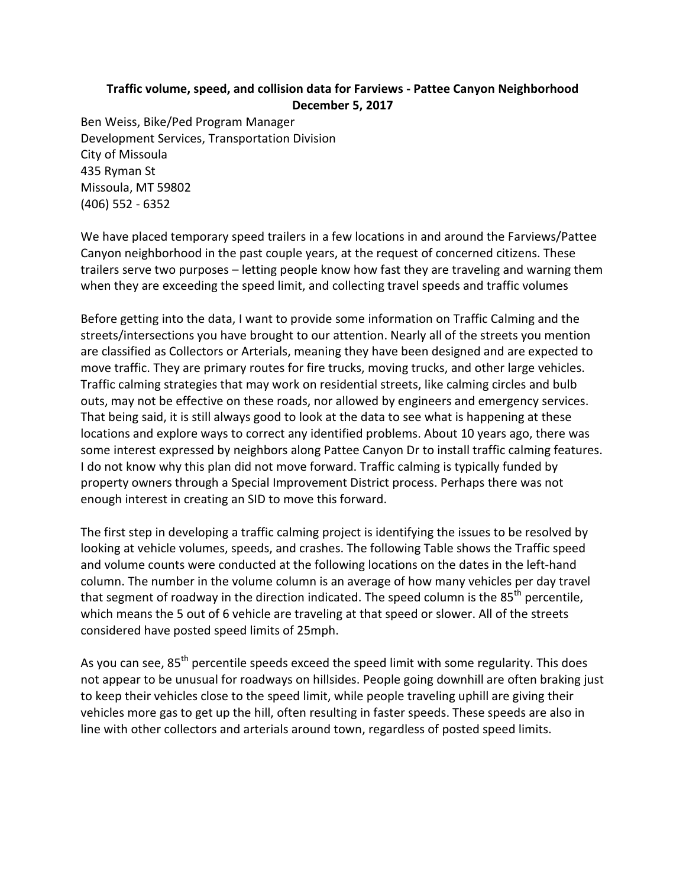## **Traffic volume, speed, and collision data for Farviews - Pattee Canyon Neighborhood December 5, 2017**

Ben Weiss, Bike/Ped Program Manager Development Services, Transportation Division City of Missoula 435 Ryman St Missoula, MT 59802 (406) 552 - 6352

We have placed temporary speed trailers in a few locations in and around the Farviews/Pattee Canyon neighborhood in the past couple years, at the request of concerned citizens. These trailers serve two purposes – letting people know how fast they are traveling and warning them when they are exceeding the speed limit, and collecting travel speeds and traffic volumes

Before getting into the data, I want to provide some information on Traffic Calming and the streets/intersections you have brought to our attention. Nearly all of the streets you mention are classified as Collectors or Arterials, meaning they have been designed and are expected to move traffic. They are primary routes for fire trucks, moving trucks, and other large vehicles. Traffic calming strategies that may work on residential streets, like calming circles and bulb outs, may not be effective on these roads, nor allowed by engineers and emergency services. That being said, it is still always good to look at the data to see what is happening at these locations and explore ways to correct any identified problems. About 10 years ago, there was some interest expressed by neighbors along Pattee Canyon Dr to install traffic calming features. I do not know why this plan did not move forward. Traffic calming is typically funded by property owners through a Special Improvement District process. Perhaps there was not enough interest in creating an SID to move this forward.

The first step in developing a traffic calming project is identifying the issues to be resolved by looking at vehicle volumes, speeds, and crashes. The following Table shows the Traffic speed and volume counts were conducted at the following locations on the dates in the left-hand column. The number in the volume column is an average of how many vehicles per day travel that segment of roadway in the direction indicated. The speed column is the 85<sup>th</sup> percentile, which means the 5 out of 6 vehicle are traveling at that speed or slower. All of the streets considered have posted speed limits of 25mph.

As you can see, 85<sup>th</sup> percentile speeds exceed the speed limit with some regularity. This does not appear to be unusual for roadways on hillsides. People going downhill are often braking just to keep their vehicles close to the speed limit, while people traveling uphill are giving their vehicles more gas to get up the hill, often resulting in faster speeds. These speeds are also in line with other collectors and arterials around town, regardless of posted speed limits.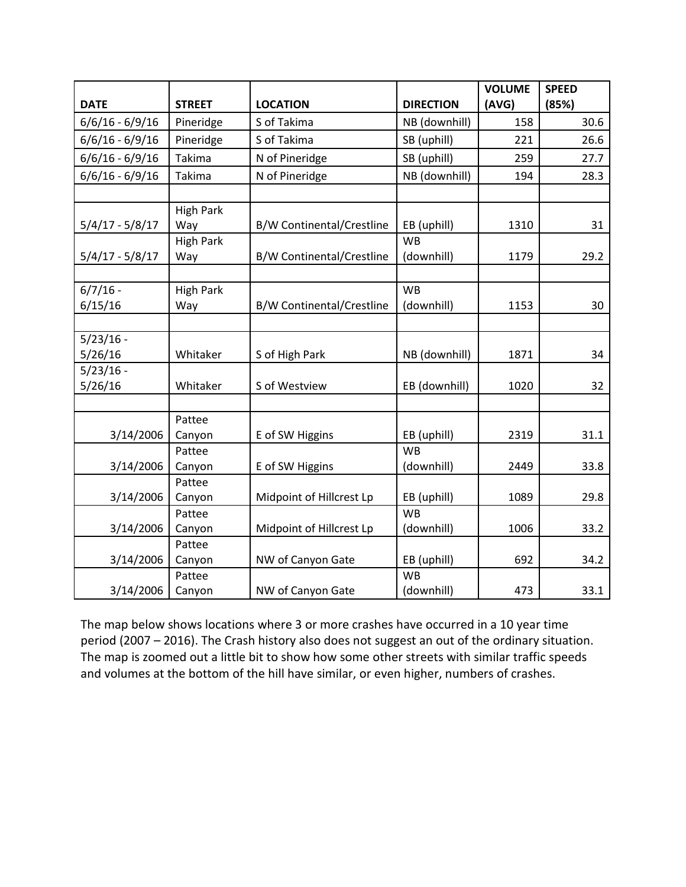|                   |                         |                                  |                  | <b>VOLUME</b> | <b>SPEED</b> |
|-------------------|-------------------------|----------------------------------|------------------|---------------|--------------|
| <b>DATE</b>       | <b>STREET</b>           | <b>LOCATION</b>                  | <b>DIRECTION</b> | (AVG)         | (85%)        |
| $6/6/16 - 6/9/16$ | Pineridge               | S of Takima                      | NB (downhill)    | 158           | 30.6         |
| $6/6/16 - 6/9/16$ | Pineridge               | S of Takima                      | SB (uphill)      | 221           | 26.6         |
| $6/6/16 - 6/9/16$ | Takima                  | N of Pineridge                   | SB (uphill)      | 259           | 27.7         |
| $6/6/16 - 6/9/16$ | Takima                  | N of Pineridge                   | NB (downhill)    | 194           | 28.3         |
|                   |                         |                                  |                  |               |              |
| $5/4/17 - 5/8/17$ | <b>High Park</b><br>Way | B/W Continental/Crestline        | EB (uphill)      | 1310          | 31           |
|                   | <b>High Park</b>        |                                  | <b>WB</b>        |               |              |
| $5/4/17 - 5/8/17$ | Way                     | <b>B/W Continental/Crestline</b> | (downhill)       | 1179          | 29.2         |
|                   |                         |                                  |                  |               |              |
| $6/7/16 -$        | <b>High Park</b>        |                                  | <b>WB</b>        |               |              |
| 6/15/16           | Way                     | <b>B/W Continental/Crestline</b> | (downhill)       | 1153          | 30           |
| $5/23/16 -$       |                         |                                  |                  |               |              |
| 5/26/16           | Whitaker                | S of High Park                   | NB (downhill)    | 1871          | 34           |
| $5/23/16 -$       |                         |                                  |                  |               |              |
| 5/26/16           | Whitaker                | S of Westview                    | EB (downhill)    | 1020          | 32           |
|                   |                         |                                  |                  |               |              |
|                   | Pattee                  |                                  |                  |               |              |
| 3/14/2006         | Canyon                  | E of SW Higgins                  | EB (uphill)      | 2319          | 31.1         |
|                   | Pattee                  |                                  | <b>WB</b>        |               |              |
| 3/14/2006         | Canyon                  | E of SW Higgins                  | (downhill)       | 2449          | 33.8         |
|                   | Pattee                  |                                  |                  |               |              |
| 3/14/2006         | Canyon                  | Midpoint of Hillcrest Lp         | EB (uphill)      | 1089          | 29.8         |
|                   | Pattee                  |                                  | <b>WB</b>        |               |              |
| 3/14/2006         | Canyon                  | Midpoint of Hillcrest Lp         | (downhill)       | 1006          | 33.2         |
|                   | Pattee                  |                                  |                  |               |              |
| 3/14/2006         | Canyon                  | NW of Canyon Gate                | EB (uphill)      | 692           | 34.2         |
|                   | Pattee                  |                                  | <b>WB</b>        |               |              |
| 3/14/2006         | Canyon                  | NW of Canyon Gate                | (downhill)       | 473           | 33.1         |

The map below shows locations where 3 or more crashes have occurred in a 10 year time period (2007 – 2016). The Crash history also does not suggest an out of the ordinary situation. The map is zoomed out a little bit to show how some other streets with similar traffic speeds and volumes at the bottom of the hill have similar, or even higher, numbers of crashes.